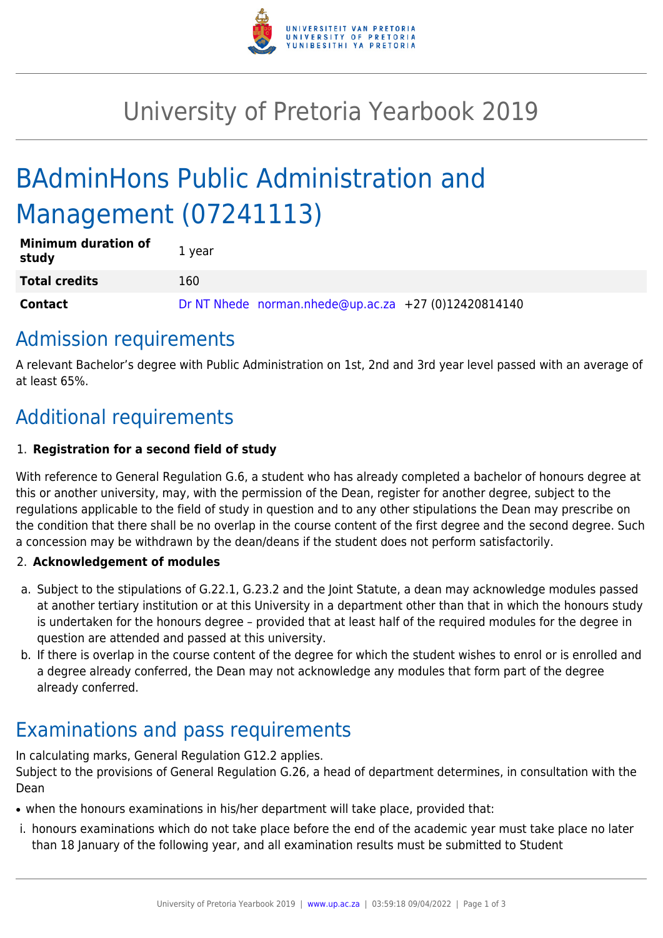

# University of Pretoria Yearbook 2019

# BAdminHons Public Administration and Management (07241113)

| <b>Minimum duration of</b><br>study | 1 year                                               |
|-------------------------------------|------------------------------------------------------|
| <b>Total credits</b>                | 160                                                  |
| <b>Contact</b>                      | Dr NT Nhede norman.nhede@up.ac.za +27 (0)12420814140 |

### Admission requirements

A relevant Bachelor's degree with Public Administration on 1st, 2nd and 3rd year level passed with an average of at least 65%.

## Additional requirements

#### 1. **Registration for a second field of study**

With reference to General Regulation G.6, a student who has already completed a bachelor of honours degree at this or another university, may, with the permission of the Dean, register for another degree, subject to the regulations applicable to the field of study in question and to any other stipulations the Dean may prescribe on the condition that there shall be no overlap in the course content of the first degree and the second degree. Such a concession may be withdrawn by the dean/deans if the student does not perform satisfactorily.

#### 2. **Acknowledgement of modules**

- a. Subject to the stipulations of G.22.1, G.23.2 and the Joint Statute, a dean may acknowledge modules passed at another tertiary institution or at this University in a department other than that in which the honours study is undertaken for the honours degree – provided that at least half of the required modules for the degree in question are attended and passed at this university.
- b. If there is overlap in the course content of the degree for which the student wishes to enrol or is enrolled and a degree already conferred, the Dean may not acknowledge any modules that form part of the degree already conferred.

# Examinations and pass requirements

In calculating marks, General Regulation G12.2 applies.

Subject to the provisions of General Regulation G.26, a head of department determines, in consultation with the Dean

- when the honours examinations in his/her department will take place, provided that:
- i. honours examinations which do not take place before the end of the academic year must take place no later than 18 January of the following year, and all examination results must be submitted to Student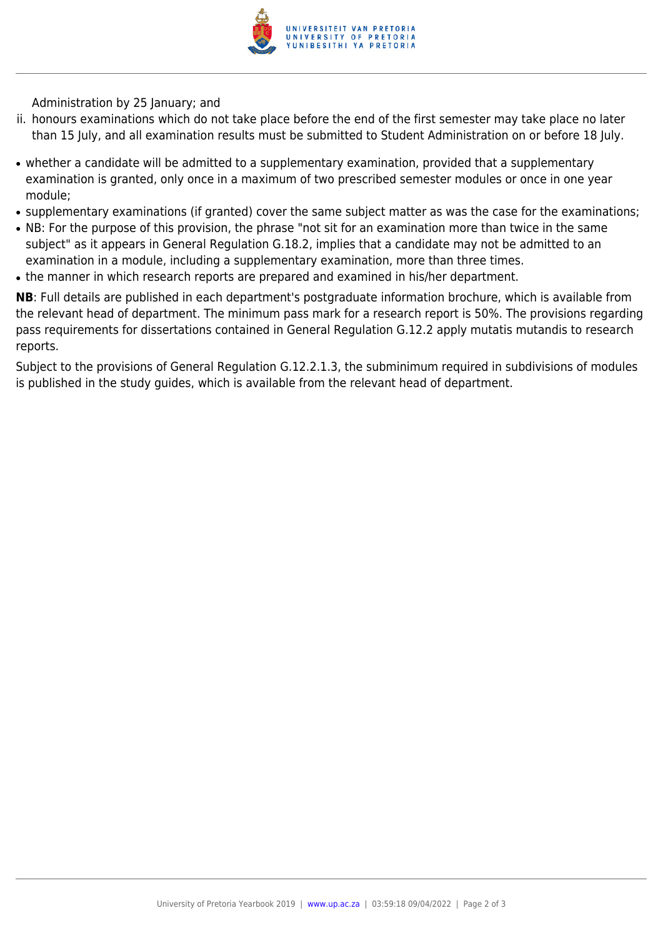

Administration by 25 January; and

- ii. honours examinations which do not take place before the end of the first semester may take place no later than 15 July, and all examination results must be submitted to Student Administration on or before 18 July.
- whether a candidate will be admitted to a supplementary examination, provided that a supplementary examination is granted, only once in a maximum of two prescribed semester modules or once in one year module;
- supplementary examinations (if granted) cover the same subject matter as was the case for the examinations;
- NB: For the purpose of this provision, the phrase "not sit for an examination more than twice in the same subject" as it appears in General Regulation G.18.2, implies that a candidate may not be admitted to an examination in a module, including a supplementary examination, more than three times.
- the manner in which research reports are prepared and examined in his/her department.

**NB**: Full details are published in each department's postgraduate information brochure, which is available from the relevant head of department. The minimum pass mark for a research report is 50%. The provisions regarding pass requirements for dissertations contained in General Regulation G.12.2 apply mutatis mutandis to research reports.

Subject to the provisions of General Regulation G.12.2.1.3, the subminimum required in subdivisions of modules is published in the study guides, which is available from the relevant head of department.